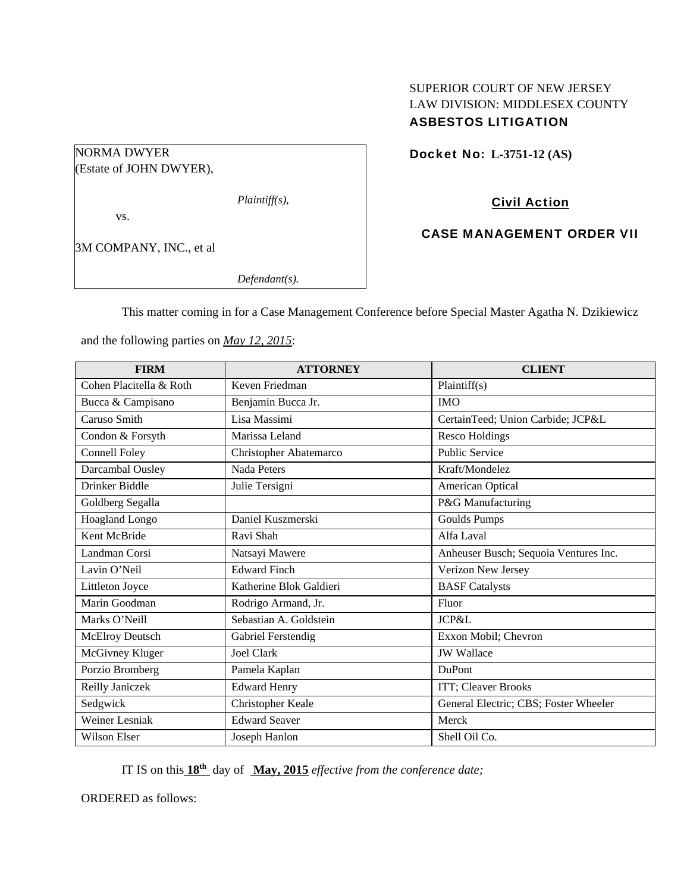# SUPERIOR COURT OF NEW JERSEY LAW DIVISION: MIDDLESEX COUNTY ASBESTOS LITIGATION

## Docket No: **L-3751-12 (AS)**

(Estate of JOHN DWYER),

*Plaintiff(s),* 

vs.

NORMA DWYER

3M COMPANY, INC., et al

*Defendant(s).* 

Civil Action

CASE MANAGEMENT ORDER VII

This matter coming in for a Case Management Conference before Special Master Agatha N. Dzikiewicz

and the following parties on *May 12, 2015*:

| <b>FIRM</b>             | <b>ATTORNEY</b>         | <b>CLIENT</b>                         |
|-------------------------|-------------------------|---------------------------------------|
| Cohen Placitella & Roth | Keven Friedman          | Plaintiff(s)                          |
| Bucca & Campisano       | Benjamin Bucca Jr.      | <b>IMO</b>                            |
| Caruso Smith            | Lisa Massimi            | CertainTeed; Union Carbide; JCP&L     |
| Condon & Forsyth        | Marissa Leland          | <b>Resco Holdings</b>                 |
| Connell Foley           | Christopher Abatemarco  | <b>Public Service</b>                 |
| Darcambal Ousley        | <b>Nada Peters</b>      | Kraft/Mondelez                        |
| Drinker Biddle          | Julie Tersigni          | American Optical                      |
| Goldberg Segalla        |                         | P&G Manufacturing                     |
| Hoagland Longo          | Daniel Kuszmerski       | <b>Goulds Pumps</b>                   |
| Kent McBride            | Ravi Shah               | Alfa Laval                            |
| Landman Corsi           | Natsayi Mawere          | Anheuser Busch; Sequoia Ventures Inc. |
| Lavin O'Neil            | <b>Edward Finch</b>     | Verizon New Jersey                    |
| Littleton Joyce         | Katherine Blok Galdieri | <b>BASF</b> Catalysts                 |
| Marin Goodman           | Rodrigo Armand, Jr.     | Fluor                                 |
| Marks O'Neill           | Sebastian A. Goldstein  | JCP&L                                 |
| McElroy Deutsch         | Gabriel Ferstendig      | Exxon Mobil; Chevron                  |
| McGivney Kluger         | <b>Joel Clark</b>       | <b>JW</b> Wallace                     |
| Porzio Bromberg         | Pamela Kaplan           | <b>DuPont</b>                         |
| Reilly Janiczek         | <b>Edward Henry</b>     | ITT; Cleaver Brooks                   |
| Sedgwick                | Christopher Keale       | General Electric; CBS; Foster Wheeler |
| <b>Weiner Lesniak</b>   | <b>Edward Seaver</b>    | Merck                                 |
| <b>Wilson Elser</b>     | Joseph Hanlon           | Shell Oil Co.                         |

IT IS on this **18th** day of **May, 2015** *effective from the conference date;*

ORDERED as follows: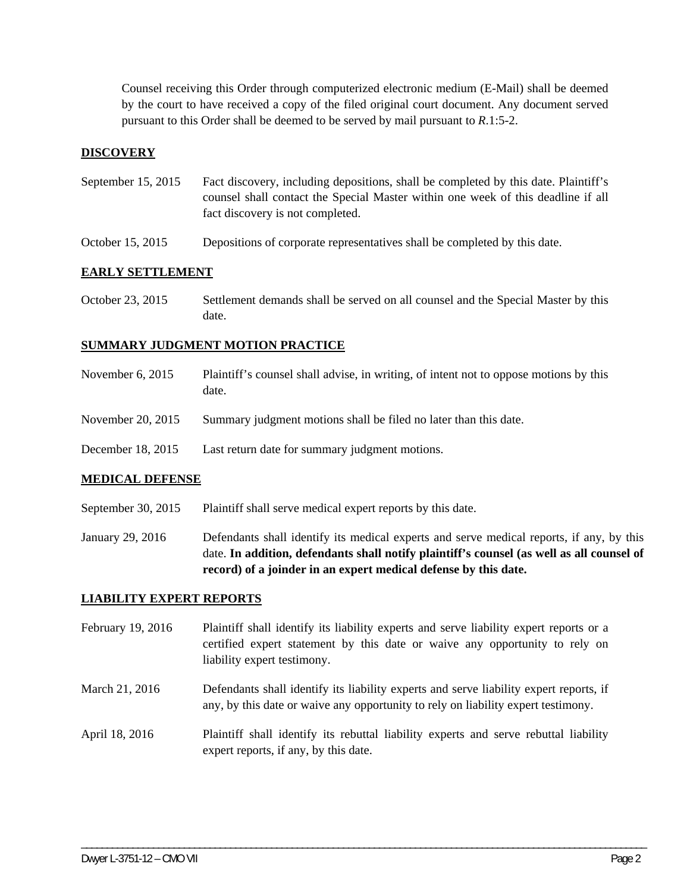Counsel receiving this Order through computerized electronic medium (E-Mail) shall be deemed by the court to have received a copy of the filed original court document. Any document served pursuant to this Order shall be deemed to be served by mail pursuant to *R*.1:5-2.

## **DISCOVERY**

- September 15, 2015 Fact discovery, including depositions, shall be completed by this date. Plaintiff's counsel shall contact the Special Master within one week of this deadline if all fact discovery is not completed.
- October 15, 2015 Depositions of corporate representatives shall be completed by this date.

## **EARLY SETTLEMENT**

October 23, 2015 Settlement demands shall be served on all counsel and the Special Master by this date.

## **SUMMARY JUDGMENT MOTION PRACTICE**

November 6, 2015 Plaintiff's counsel shall advise, in writing, of intent not to oppose motions by this date. November 20, 2015 Summary judgment motions shall be filed no later than this date. December 18, 2015 Last return date for summary judgment motions.

#### **MEDICAL DEFENSE**

- September 30, 2015 Plaintiff shall serve medical expert reports by this date.
- January 29, 2016 Defendants shall identify its medical experts and serve medical reports, if any, by this date. **In addition, defendants shall notify plaintiff's counsel (as well as all counsel of record) of a joinder in an expert medical defense by this date.**

#### **LIABILITY EXPERT REPORTS**

- February 19, 2016 Plaintiff shall identify its liability experts and serve liability expert reports or a certified expert statement by this date or waive any opportunity to rely on liability expert testimony.
- March 21, 2016 Defendants shall identify its liability experts and serve liability expert reports, if any, by this date or waive any opportunity to rely on liability expert testimony.
- April 18, 2016 Plaintiff shall identify its rebuttal liability experts and serve rebuttal liability expert reports, if any, by this date.

\_\_\_\_\_\_\_\_\_\_\_\_\_\_\_\_\_\_\_\_\_\_\_\_\_\_\_\_\_\_\_\_\_\_\_\_\_\_\_\_\_\_\_\_\_\_\_\_\_\_\_\_\_\_\_\_\_\_\_\_\_\_\_\_\_\_\_\_\_\_\_\_\_\_\_\_\_\_\_\_\_\_\_\_\_\_\_\_\_\_\_\_\_\_\_\_\_\_\_\_\_\_\_\_\_\_\_\_\_\_